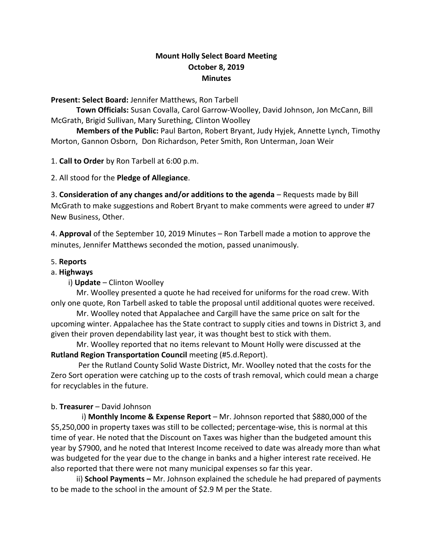# **Mount Holly Select Board Meeting October 8, 2019 Minutes**

#### **Present: Select Board:** Jennifer Matthews, Ron Tarbell

**Town Officials:** Susan Covalla, Carol Garrow-Woolley, David Johnson, Jon McCann, Bill McGrath, Brigid Sullivan, Mary Surething, Clinton Woolley

**Members of the Public:** Paul Barton, Robert Bryant, Judy Hyjek, Annette Lynch, Timothy Morton, Gannon Osborn, Don Richardson, Peter Smith, Ron Unterman, Joan Weir

1. **Call to Order** by Ron Tarbell at 6:00 p.m.

2. All stood for the **Pledge of Allegiance**.

3. **Consideration of any changes and/or additions to the agenda** – Requests made by Bill McGrath to make suggestions and Robert Bryant to make comments were agreed to under #7 New Business, Other.

4. **Approval** of the September 10, 2019 Minutes – Ron Tarbell made a motion to approve the minutes, Jennifer Matthews seconded the motion, passed unanimously.

### 5. **Reports**

### a. **Highways**

i) **Update** – Clinton Woolley

Mr. Woolley presented a quote he had received for uniforms for the road crew. With only one quote, Ron Tarbell asked to table the proposal until additional quotes were received.

Mr. Woolley noted that Appalachee and Cargill have the same price on salt for the upcoming winter. Appalachee has the State contract to supply cities and towns in District 3, and given their proven dependability last year, it was thought best to stick with them.

Mr. Woolley reported that no items relevant to Mount Holly were discussed at the **Rutland Region Transportation Council** meeting (#5.d.Report).

Per the Rutland County Solid Waste District, Mr. Woolley noted that the costs for the Zero Sort operation were catching up to the costs of trash removal, which could mean a charge for recyclables in the future.

## b. **Treasurer** – David Johnson

 i) **Monthly Income & Expense Report** – Mr. Johnson reported that \$880,000 of the \$5,250,000 in property taxes was still to be collected; percentage-wise, this is normal at this time of year. He noted that the Discount on Taxes was higher than the budgeted amount this year by \$7900, and he noted that Interest Income received to date was already more than what was budgeted for the year due to the change in banks and a higher interest rate received. He also reported that there were not many municipal expenses so far this year.

 ii) **School Payments –** Mr. Johnson explained the schedule he had prepared of payments to be made to the school in the amount of \$2.9 M per the State.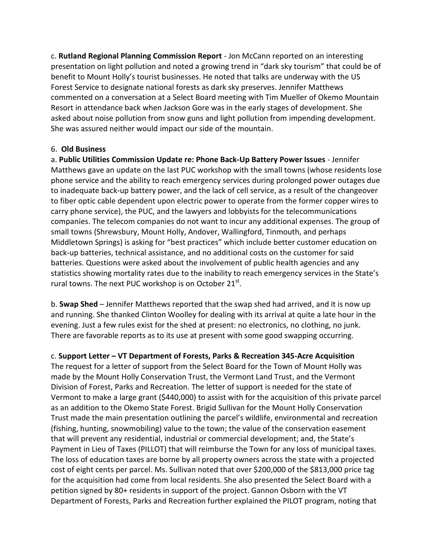c. **Rutland Regional Planning Commission Report** - Jon McCann reported on an interesting presentation on light pollution and noted a growing trend in "dark sky tourism" that could be of benefit to Mount Holly's tourist businesses. He noted that talks are underway with the US Forest Service to designate national forests as dark sky preserves. Jennifer Matthews commented on a conversation at a Select Board meeting with Tim Mueller of Okemo Mountain Resort in attendance back when Jackson Gore was in the early stages of development. She asked about noise pollution from snow guns and light pollution from impending development. She was assured neither would impact our side of the mountain.

#### 6. **Old Business**

a. **Public Utilities Commission Update re: Phone Back-Up Battery Power Issues** - Jennifer Matthews gave an update on the last PUC workshop with the small towns (whose residents lose phone service and the ability to reach emergency services during prolonged power outages due to inadequate back-up battery power, and the lack of cell service, as a result of the changeover to fiber optic cable dependent upon electric power to operate from the former copper wires to carry phone service), the PUC, and the lawyers and lobbyists for the telecommunications companies. The telecom companies do not want to incur any additional expenses. The group of small towns (Shrewsbury, Mount Holly, Andover, Wallingford, Tinmouth, and perhaps Middletown Springs) is asking for "best practices" which include better customer education on back-up batteries, technical assistance, and no additional costs on the customer for said batteries. Questions were asked about the involvement of public health agencies and any statistics showing mortality rates due to the inability to reach emergency services in the State's rural towns. The next PUC workshop is on October 21 $^{\text{st}}$ .

b. **Swap Shed** – Jennifer Matthews reported that the swap shed had arrived, and it is now up and running. She thanked Clinton Woolley for dealing with its arrival at quite a late hour in the evening. Just a few rules exist for the shed at present: no electronics, no clothing, no junk. There are favorable reports as to its use at present with some good swapping occurring.

## c. **Support Letter – VT Department of Forests, Parks & Recreation 345-Acre Acquisition**

The request for a letter of support from the Select Board for the Town of Mount Holly was made by the Mount Holly Conservation Trust, the Vermont Land Trust, and the Vermont Division of Forest, Parks and Recreation. The letter of support is needed for the state of Vermont to make a large grant (\$440,000) to assist with for the acquisition of this private parcel as an addition to the Okemo State Forest. Brigid Sullivan for the Mount Holly Conservation Trust made the main presentation outlining the parcel's wildlife, environmental and recreation (fishing, hunting, snowmobiling) value to the town; the value of the conservation easement that will prevent any residential, industrial or commercial development; and, the State's Payment in Lieu of Taxes (PILLOT) that will reimburse the Town for any loss of municipal taxes. The loss of education taxes are borne by all property owners across the state with a projected cost of eight cents per parcel. Ms. Sullivan noted that over \$200,000 of the \$813,000 price tag for the acquisition had come from local residents. She also presented the Select Board with a petition signed by 80+ residents in support of the project. Gannon Osborn with the VT Department of Forests, Parks and Recreation further explained the PILOT program, noting that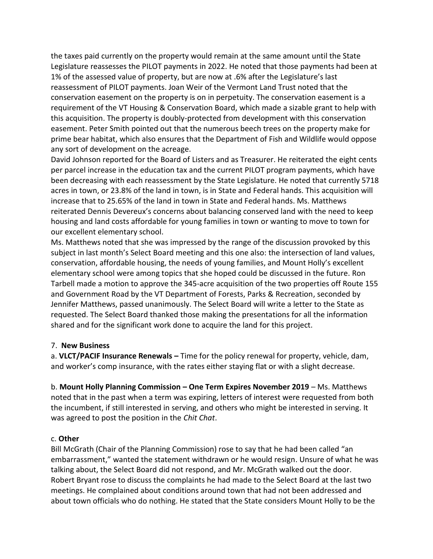the taxes paid currently on the property would remain at the same amount until the State Legislature reassesses the PILOT payments in 2022. He noted that those payments had been at 1% of the assessed value of property, but are now at .6% after the Legislature's last reassessment of PILOT payments. Joan Weir of the Vermont Land Trust noted that the conservation easement on the property is on in perpetuity. The conservation easement is a requirement of the VT Housing & Conservation Board, which made a sizable grant to help with this acquisition. The property is doubly-protected from development with this conservation easement. Peter Smith pointed out that the numerous beech trees on the property make for prime bear habitat, which also ensures that the Department of Fish and Wildlife would oppose any sort of development on the acreage.

David Johnson reported for the Board of Listers and as Treasurer. He reiterated the eight cents per parcel increase in the education tax and the current PILOT program payments, which have been decreasing with each reassessment by the State Legislature. He noted that currently 5718 acres in town, or 23.8% of the land in town, is in State and Federal hands. This acquisition will increase that to 25.65% of the land in town in State and Federal hands. Ms. Matthews reiterated Dennis Devereux's concerns about balancing conserved land with the need to keep housing and land costs affordable for young families in town or wanting to move to town for our excellent elementary school.

Ms. Matthews noted that she was impressed by the range of the discussion provoked by this subject in last month's Select Board meeting and this one also: the intersection of land values, conservation, affordable housing, the needs of young families, and Mount Holly's excellent elementary school were among topics that she hoped could be discussed in the future. Ron Tarbell made a motion to approve the 345-acre acquisition of the two properties off Route 155 and Government Road by the VT Department of Forests, Parks & Recreation, seconded by Jennifer Matthews, passed unanimously. The Select Board will write a letter to the State as requested. The Select Board thanked those making the presentations for all the information shared and for the significant work done to acquire the land for this project.

#### 7. **New Business**

a. **VLCT/PACIF Insurance Renewals –** Time for the policy renewal for property, vehicle, dam, and worker's comp insurance, with the rates either staying flat or with a slight decrease.

b. **Mount Holly Planning Commission – One Term Expires November 2019** – Ms. Matthews noted that in the past when a term was expiring, letters of interest were requested from both the incumbent, if still interested in serving, and others who might be interested in serving. It was agreed to post the position in the *Chit Chat*.

## c. **Other**

Bill McGrath (Chair of the Planning Commission) rose to say that he had been called "an embarrassment," wanted the statement withdrawn or he would resign. Unsure of what he was talking about, the Select Board did not respond, and Mr. McGrath walked out the door. Robert Bryant rose to discuss the complaints he had made to the Select Board at the last two meetings. He complained about conditions around town that had not been addressed and about town officials who do nothing. He stated that the State considers Mount Holly to be the